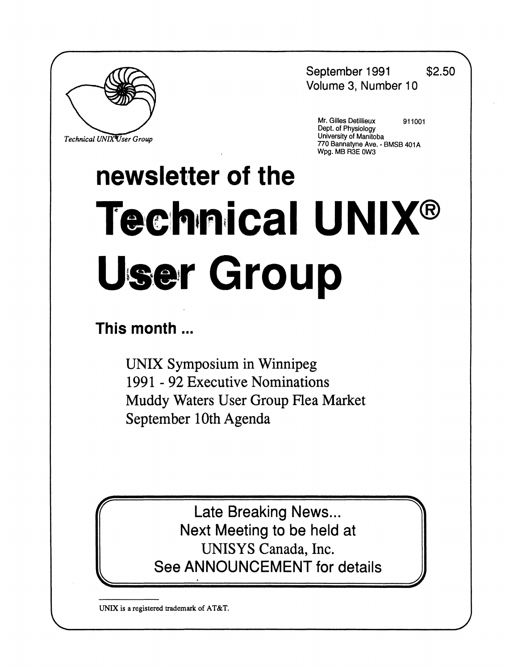September 1991 \$2.50 Volume 3, Number 10



 $Technical$  *UNIXUser Group* 

**Mr. Gilles Detillieux 911001 \_ Dept. of Physiology**   *°J* **Ma nitoba** mitoba<br>^^^ - **PMC ^ 770 Bannatyne Ave. - BMSB 401A Wpg. MB R3E 0W3** 

# **newsletter of the**  Technical UNIX® **User Group**

## **This month...**

UNIX Symposium in Winnipeg 1991-92 Executive Nominations Muddy Waters User Group Flea Market September 10th Agenda

> Late Breaking News... Next Meeting to be held at UNISYS Canada, Inc. See ANNOUNCEMENT for details

**UNIX is a registered trademark of AT&T.**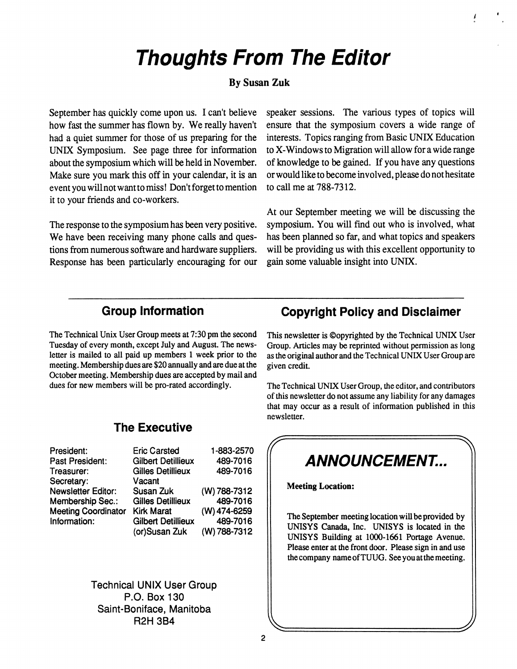# **Thoughts From The Editor**

#### **By Susan Zuk**

September has quickly come upon us. I can't believe how fast the summer has flown by. We really haven't had a quiet summer for those of us preparing for the UNIX Symposium. See page three for information about the symposium which will be held in November. Make sure you mark this off in your calendar, it is an event you will not want to miss! Don't forget to mention it to your friends and co-workers.

The response to the symposium has been very positive. We have been receiving many phone calls and questions from numerous software and hardware suppliers. Response has been particularly encouraging for our speaker sessions. The various types of topics will ensure that the symposium covers a wide range of interests. Topics ranging from Basic UNIX Education to X-Windows to Migration will allow for a wide range of knowledge to be gained. If you have any questions or would like to become involved, please do not hesitate to call me at 788-7312.

**i** 

At our September meeting we will be discussing the symposium. You will find out who is involved, what has been planned so far, and what topics and speakers will be providing us with this excellent opportunity to gain some valuable insight into UNIX.

#### **Group Information**

The Technical Unix User Group meets at 7:30 pm the second Tuesday of every month, except July and August. The newsletter is mailed to all paid up members 1 week prior to the meeting. Membership dues are \$20 annually and are due at the October meeting. Membership dues are accepted by mail and dues for new members will be pro-rated accordingly.

#### **The Executive**

| President:                 | <b>Eric Carsted</b>       | 1-883-2570   |
|----------------------------|---------------------------|--------------|
| Past President:            | <b>Gilbert Detillieux</b> | 489-7016     |
| Treasurer:                 | <b>Gilles Detillieux</b>  | 489-7016     |
| Secretary:                 | Vacant                    |              |
| <b>Newsletter Editor:</b>  | Susan Zuk                 | (W) 788-7312 |
| <b>Membership Sec.:</b>    | <b>Gilles Detillieux</b>  | 489-7016     |
| <b>Meeting Coordinator</b> | <b>Kirk Marat</b>         | (W) 474-6259 |
| Information:               | <b>Gilbert Detillieux</b> | 489-7016     |
|                            | (or)Susan Zuk             | (W) 788-7312 |

**Technical UNIX User Group P.O. Box 130 Saint-Boniface, Manitoba R2H 3B4** 

#### **Copyright Policy and Disclaimer**

This newsletter is ©opyrighted by the Technical UNIX User Group. Articles may be reprinted without permission as long as the original author and the Technical UNIX User Group are given credit.

The Technical UNIX User Group, the editor, and contributors of this newsletter do not assume any liability for any damages that may occur as a result of information published in this newsletter.

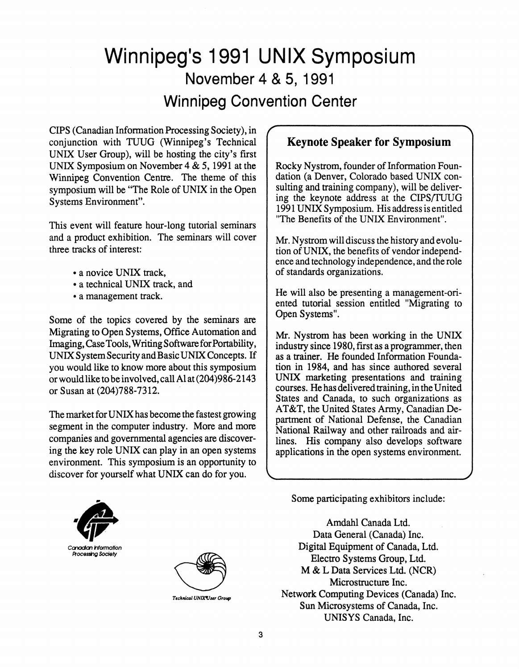# Winnipeg's 1991 UNIX Symposium November 4 & 5, 1991 Winnipeg Convention Center

CIPS (Canadian Information Processing Society), in conjunction with TUUG (Winnipeg's Technical UNIX User Group), will be hosting the city's first UNIX Symposium on November 4 & 5,1991 at the Winnipeg Convention Centre. The theme of this symposium will be "The Role of UNIX in the Open Systems Environment".

This event will feature hour-long tutorial seminars and a product exhibition. The seminars will cover three tracks of interest:

- a novice UNIX track,
- a technical UNIX track, and
- a management track.

Some of the topics covered by the seminars are Migrating to Open Systems, Office Automation and Imaging, Case Tools, Writing Software for Portability, UNIX System Security and Basic UNIX Concepts. If you would like to know more about this symposium or would like to be involved, call Al at (204)986-2143 or Susan at (204)788-7312.

The market for UNIX has become the fastest growing segment in the computer industry. More and more companies and governmental agencies are discovering the key role UNIX can play in an open systems environment. This symposium is an opportunity to discover for yourself what UNIX can do for you.

#### **Keynote Speaker for Symposium**

Rocky Nystrom, founder of Information Foundation (a Denver, Colorado based UNIX consulting and training company), will be delivering the keynote address at the CIPS/TUUG 1991 UNIX Symposium. His address is entitled 'The Benefits of the UNIX Environment".

Mr. Nystrom will discuss the history and evolution of UNIX, the benefits of vendor independence and technology independence, and the role of standards organizations.

He will also be presenting a management-oriented tutorial session entitled "Migrating to Open Systems".

Mr. Nystrom has been working in the UNIX industry since 1980, first as a programmer, then as a trainer. He founded Information Foundation in 1984, and has since authored several UNIX marketing presentations and training courses. He has delivered training, in the United States and Canada, to such organizations as AT&T, the United States Army, Canadian Department of National Defense, the Canadian National Railway and other railroads and airlines. His company also develops software applications in the open systems environment.

Some participating exhibitors include:

Amdahl Canada Ltd. Data General (Canada) Inc. Digital Equipment of Canada, Ltd. Electro Systems Group, Ltd. M & L Data Services Ltd. (NCR) Microstructure Inc. Network Computing Devices (Canada) Inc. Sun Microsystems of Canada, Inc. UNISYS Canada, Inc.





*Technical UNlXVser Group*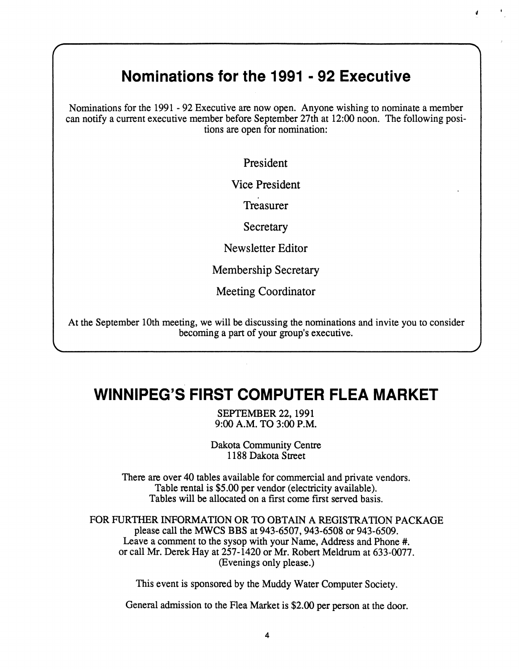#### **Nominations for the 1991 - 92 Executive**

*4* **'** 

**Nominations for the 1991 - 92 Executive are now open. Anyone wishing to nominate a member can notify a current executive member before September 27th at 12:00 noon. The following positions are open for nomination:** 

President

Vice President

Treasurer

**Secretary** 

Newsletter Editor

Membership Secretary

Meeting Coordinator

**At the September 10th meeting, we will be discussing the nominations and invite you to consider becoming a part of your group's executive.** 

**V .** *)* 

### **WINNIPEG'S FIRST COMPUTER FLEA MARKET**

**SEPTEMBER 22,1991 9:00 A.M. TO 3:00 P.M.** 

**Dakota Community Centre 1188 Dakota Street** 

**There are over 40 tables available for commercial and private vendors. Table rental is \$5.00 per vendor (electricity available). Tables will be allocated on a first come first served basis.** 

**FOR FURTHER INFORMATION OR TO OBTAIN A REGISTRATION PACKAGE please call the MWCS BBS at 943-6507,943-6508 or 943-6509. Leave a comment to the sysop with your Name, Address and Phone #. or call Mr. Derek Hay at 257-1420 or Mr. Robert Meldrum at 633-0077. (Evenings only please.)** 

**This event is sponsored by the Muddy Water Computer Society.** 

**General admission to the Flea Market is \$2.00 per person at the door.**